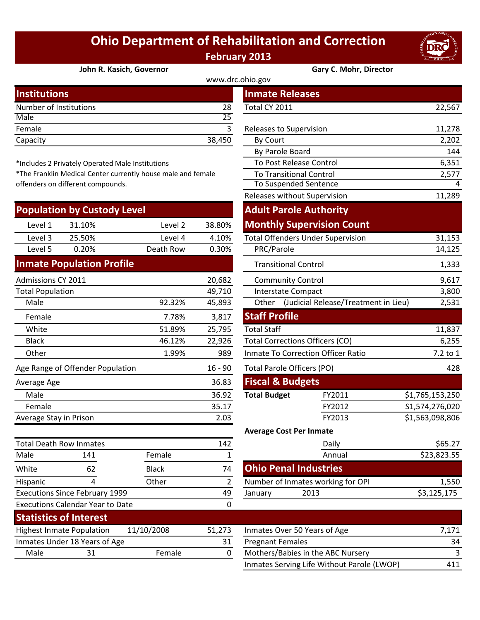## **Ohio Department of Rehabilitation and Correction February 2013**



## **[John R. Kasich, Governor](http://www.drc.ohio.gov/) Gary C. Mohr, Director**

| <b>Institutions</b>    |        | <b>Inmate Releases</b>  |        |  |  |  |
|------------------------|--------|-------------------------|--------|--|--|--|
| Number of Institutions | 28     | Total CY 2011           | 22,567 |  |  |  |
| Male                   | 25     |                         |        |  |  |  |
| Female                 |        | Releases to Supervision | 11,278 |  |  |  |
| Capacity               | 38,450 | By Court                | 2,202  |  |  |  |
|                        |        |                         |        |  |  |  |

\*Includes 2 Privately Operated Male Institutions

\*The Franklin Medical Center currently house male and female offenders on different compounds.

| <b>Population by Custody Level</b>            |                                  |                                   | <b>Adult Parole Authority</b> |                                                     |                                   |                 |
|-----------------------------------------------|----------------------------------|-----------------------------------|-------------------------------|-----------------------------------------------------|-----------------------------------|-----------------|
| Level 1                                       | 31.10%                           | Level 2                           | 38.80%                        |                                                     | <b>Monthly Supervision Count</b>  |                 |
| Level 3                                       | 25.50%                           | Level 4                           | 4.10%                         | <b>Total Offenders Under Supervision</b>            |                                   | 31,153          |
| Level 5                                       | 0.20%                            | Death Row                         | 0.30%                         | PRC/Parole                                          |                                   | 14,125          |
|                                               | <b>Inmate Population Profile</b> |                                   |                               | <b>Transitional Control</b>                         |                                   | 1,333           |
| Admissions CY 2011<br>20,682                  |                                  |                                   | <b>Community Control</b>      |                                                     | 9,617                             |                 |
| <b>Total Population</b>                       |                                  |                                   | 49,710                        | <b>Interstate Compact</b>                           |                                   | 3,800           |
| Male                                          |                                  | 92.32%                            | 45,893                        | Other (Judicial Release/Treatment in Lieu)<br>2,531 |                                   |                 |
| Female                                        |                                  | 7.78%                             | 3,817                         | <b>Staff Profile</b>                                |                                   |                 |
| White                                         |                                  | 51.89%                            | 25,795                        | <b>Total Staff</b>                                  |                                   | 11,837          |
| <b>Black</b>                                  |                                  | 46.12%                            | 22,926                        | <b>Total Corrections Officers (CO)</b>              |                                   | 6,255           |
| Other                                         |                                  | 1.99%                             | 989                           | <b>Inmate To Correction Officer Ratio</b>           |                                   | 7.2 to 1        |
| Age Range of Offender Population<br>$16 - 90$ |                                  | <b>Total Parole Officers (PO)</b> |                               | 428                                                 |                                   |                 |
| Average Age                                   |                                  |                                   | 36.83                         | <b>Fiscal &amp; Budgets</b>                         |                                   |                 |
| Male                                          |                                  |                                   | 36.92                         | <b>Total Budget</b>                                 | FY2011                            | \$1,765,153,250 |
| Female                                        |                                  |                                   | 35.17                         |                                                     | FY2012                            | S1,574,276,020  |
| Average Stay in Prison                        |                                  |                                   | 2.03                          |                                                     | FY2013                            | \$1,563,098,806 |
|                                               |                                  |                                   |                               | <b>Average Cost Per Inmate</b>                      |                                   |                 |
| <b>Total Death Row Inmates</b>                |                                  | 142                               |                               | Daily                                               | \$65.27                           |                 |
| Male                                          | 141                              | Female                            | 1                             |                                                     | Annual                            | \$23,823.55     |
| White                                         | 62                               | <b>Black</b>                      | 74                            | <b>Ohio Penal Industries</b>                        |                                   |                 |
| <b>Hispanic</b>                               | 4                                | Other                             | $\overline{2}$                |                                                     | Number of Inmates working for OPI | 1,550           |

**Statistics of Interest**

Executions Calendar Year to Date

Executions Since February 1999

|                                                           |              |                | www.drc.ohio.gov            |                                            |                 |
|-----------------------------------------------------------|--------------|----------------|-----------------------------|--------------------------------------------|-----------------|
| stitutions                                                |              |                | <b>Inmate Releases</b>      |                                            |                 |
| mber of Institutions                                      |              | 28             | Total CY 2011               |                                            | 22,567          |
| le                                                        |              | 25             |                             |                                            |                 |
| nale                                                      |              | $\overline{3}$ | Releases to Supervision     |                                            | 11,278          |
| acity                                                     |              | 38,450         | <b>By Court</b>             |                                            | 2,202           |
|                                                           |              |                | By Parole Board             |                                            | 144             |
| cludes 2 Privately Operated Male Institutions             |              |                |                             | To Post Release Control                    | 6,351           |
| e Franklin Medical Center currently house male and female |              |                |                             | <b>To Transitional Control</b>             | 2,577           |
| nders on different compounds.                             |              |                |                             | <b>To Suspended Sentence</b>               | 4               |
|                                                           |              |                |                             | Releases without Supervision               | 11,289          |
| pulation by Custody Level                                 |              |                |                             | <b>Adult Parole Authority</b>              |                 |
| Level 1<br>31.10%                                         | Level 2      | 38.80%         |                             | <b>Monthly Supervision Count</b>           |                 |
| Level 3<br>25.50%                                         | Level 4      | 4.10%          |                             | <b>Total Offenders Under Supervision</b>   | 31,153          |
| Level 5<br>0.20%                                          | Death Row    | 0.30%          | PRC/Parole                  |                                            | 14,125          |
| mate Population Profile                                   |              |                |                             | <b>Transitional Control</b>                | 1,333           |
| nissions CY 2011                                          |              | 20,682         |                             | <b>Community Control</b>                   | 9,617           |
| al Population                                             |              | 49,710         |                             | <b>Interstate Compact</b>                  | 3,800           |
| Male                                                      | 92.32%       | 45,893         |                             | Other (Judicial Release/Treatment in Lieu) | 2,531           |
| Female                                                    | 7.78%        | 3,817          | <b>Staff Profile</b>        |                                            |                 |
| White                                                     | 51.89%       | 25,795         | <b>Total Staff</b>          |                                            | 11,837          |
| <b>Black</b>                                              | 46.12%       | 22,926         |                             | <b>Total Corrections Officers (CO)</b>     | 6,255           |
| <b>Other</b>                                              | 1.99%        | 989            |                             | <b>Inmate To Correction Officer Ratio</b>  | 7.2 to 1        |
| <b>Range of Offender Population</b>                       |              | $16 - 90$      |                             | Total Parole Officers (PO)                 | 428             |
| erage Age                                                 |              | 36.83          | <b>Fiscal &amp; Budgets</b> |                                            |                 |
| Male                                                      |              | 36.92          | <b>Total Budget</b>         | FY2011                                     | \$1,765,153,250 |
| Female                                                    |              | 35.17          |                             | FY2012                                     | S1,574,276,020  |
| erage Stay in Prison                                      |              | 2.03           |                             | FY2013                                     | \$1,563,098,806 |
|                                                           |              |                |                             | <b>Average Cost Per Inmate</b>             |                 |
| al Death Row Inmates                                      |              | 142            |                             | Daily                                      | \$65.27         |
| le<br>141                                                 | Female       | $\mathbf{1}$   |                             | Annual                                     | \$23,823.55     |
| 62<br>ite                                                 | <b>Black</b> | 74             |                             | <b>Ohio Penal Industries</b>               |                 |
| panic<br>4                                                | Other        | $\overline{2}$ |                             | Number of Inmates working for OPI          | 1,550           |
| cutions Since February 1999                               |              | 49             | January                     | 2013                                       | \$3,125,175     |
| cutions Calendar Year to Date                             |              | 0              |                             |                                            |                 |
|                                                           |              |                |                             |                                            |                 |

| <b>Praciscies of filterest</b>          |                               |        |                              |                                            |     |
|-----------------------------------------|-------------------------------|--------|------------------------------|--------------------------------------------|-----|
| 11/10/2008<br>Highest Inmate Population |                               | 51.273 | Inmates Over 50 Years of Age | 7.171                                      |     |
|                                         | Inmates Under 18 Years of Age |        | 31                           | <b>Pregnant Females</b>                    | 34  |
| Male                                    |                               | Female |                              | Mothers/Babies in the ABC Nursery          |     |
|                                         |                               |        |                              | Inmates Serving Life Without Parole (LWOP) | 411 |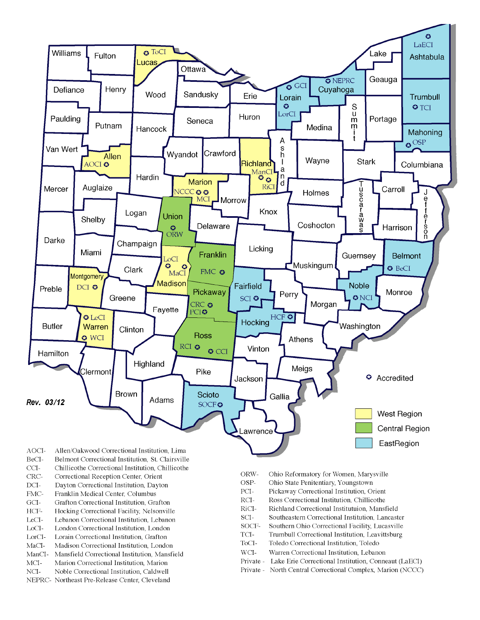

- BeCI-Belmont Correctional Institution, St. Clairsville
- $CCI-$ Chillicothe Correctional Institution, Chillicothe
- Correctional Reception Center, Orient CRC-
- $DCI-$ Dayton Correctional Institution, Dayton
- FMC-Franklin Medical Center, Columbus
- $\rm{GCI}\mbox{-}$ Grafton Correctional Institution, Grafton
- HCF-Hocking Correctional Facility, Nelsonville
- LeCI-Lebanon Correctional Institution, Lebanon
- LoCI-London Correctional Institution. London
- $\operatorname{LorCl-}$ Lorain Correctional Institution, Grafton
- $MaCI-$ Madison Correctional Institution, London
- ManCI-Mansfield Correctional Institution, Mansfield MCI-Marion Correctional Institution, Marion
- Noble Correctional Institution, Caldwell
- NCI-NEPRC- Northeast Pre-Release Center, Cleveland
- ORW-Ohio Reformatory for Women, Marysville
- OSP-Ohio State Penitentiary, Youngstown
- PCI-Pickaway Correctional Institution, Orient
- $\rm RCI-$ Ross Correctional Institution, Chillicothe
- RiCI-Richland Correctional Institutuion, Mansfield
- SCI-Southeastern Correctional Institution, Lancaster
- SOCF-Southern Ohio Correctional Facility, Lucasville
- TCI-Trumbull Correctional Institution, Leavittsburg
- ToCI-Toledo Correctional Institution, Toledo
- $WCI-$ Warren Correctional Institution, Lebanon
- Private Lake Erie Correctional Institution, Conneaut (LaECI)
- Private North Central Correctional Complex, Marion (NCCC)